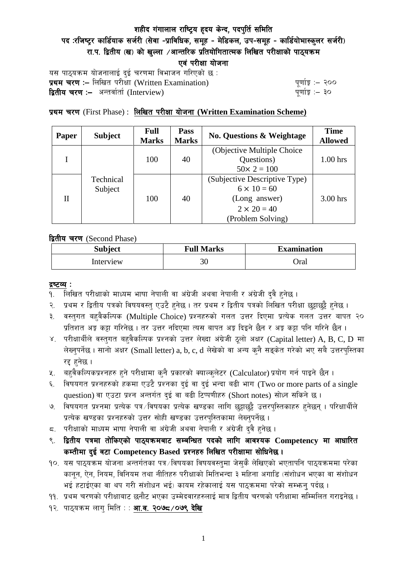# शहीद गंगालाल राष्ट्रिय हृदय केन्द, पदपुर्ति समिति पद :रजिष्ट्र कार्डियाक सर्जरी (सेवा -प्राविधिक, समूह - मेडिकल, उप-समूह - कार्डियोभास्कुलर सर्जरी) रा.प. द्वितीय (ख) को खल्ला ⁄आन्तरिक प्रतियोगितात्मक लिखित परीक्षाको पाठयक्रम एवं परीक्षा योजना

यस पाठ्यक्रम योजनालाई दुई चरणमा विभाजन गरिएको छ : प्रथम चरण :- लिखित परीक्षा (Written Examination)  $\frac{d}{dx}$  and  $\frac{d}{dx}$  and  $\frac{d}{dx}$  are  $\frac{d}{dx}$ **द्वितीय चरण :–** अन्तर्वार्ता (Interview) k and the set of the set of the set of the set of the set of the set o

## प्रथम चरण (First Phase) : लिखित परीक्षा योजना (Written Examination Scheme)

| Paper | <b>Subject</b>       | <b>Full</b><br><b>Marks</b> | Pass<br><b>Marks</b> | <b>No. Questions &amp; Weightage</b> | <b>Time</b><br><b>Allowed</b> |  |
|-------|----------------------|-----------------------------|----------------------|--------------------------------------|-------------------------------|--|
|       | Technical<br>Subject | 100                         | 40                   | (Objective Multiple Choice)          |                               |  |
|       |                      |                             |                      | Questions)                           | $1.00$ hrs                    |  |
|       |                      |                             |                      | $50 \times 2 = 100$                  |                               |  |
| H     |                      | 100                         | 40                   | (Subjective Descriptive Type)        |                               |  |
|       |                      |                             |                      | $6 \times 10 = 60$                   |                               |  |
|       |                      |                             |                      | (Long answer)                        | 3.00 hrs                      |  |
|       |                      |                             |                      | $2 \times 20 = 40$                   |                               |  |
|       |                      |                             |                      | (Problem Solving)                    |                               |  |

द्वितीय चरण (Second Phase)

| <b>Subject</b> | <b>Full Marks</b> | <b>Examination</b> |  |
|----------------|-------------------|--------------------|--|
| Interview      | 30                | )ral               |  |

#### द्रष्टव्य :

- १. लिखित परीक्षाको माध्यम भाषा नेपाली वा अंग्रेजी अथवा नेपाली र अंग्रेजी द्वै हुनेछ ।
- २. प्रथम र द्वितीय पत्रको विषयवस्तु एउटै हुनेछ । तर प्रथम र द्वितीय पत्रको लिखित परीक्षा छुट्टाछुट्टै हुनेछ ।
- ३. वस्तुगत बहुवैकल्पिक (Multiple Choice) प्रश्नहरुको गलत उत्तर दिएमा प्रत्येक गलत उत्तर बापत २० प्रतिशत अड़ू कट्टा गरिनेछ । तर उत्तर नदिएमा त्यस बापत अड़ू दिइने छैन र अड़ू कट्टा पनि गरिने छैन ।
- ४. परीक्षार्थीले वस्तुगत बहुवैकल्पिक प्रश्नको उत्तर लेख्दा अंग्रेजी ठूलो अक्षर (Capital letter) A, B, C, D मा लेख्नुपर्नेछ । सानो अक्षर (Small letter) a, b, c, d लेखेको वा अन्य कुनै सङ्केत गरेको भए सबै उत्तरपुस्तिका रद्द हनेछ ।
- ५. वहवैकल्पिकप्रश्नहरु हुने परीक्षामा कुनै प्रकारको क्याल्कुलेटर (Calculator) प्रयोग गर्न पाइने छैन ।
- ६. विषयगत प्रश्नहरुको हकमा एउटै प्रश्नका दुई वा दुई भन्दा बढी भाग (Two or more parts of a single question) वा एउटा प्रश्न अन्तर्गत दुई वा बढी टिप्पणीहरु (Short notes) सोध्न सकिने छ।
- ७. विषयगत प्रश्नमा प्रत्येक पत्र विषयका प्रत्येक खण्डका लागि छड़ाछड़ै उत्तरपस्तिकाहरु हनेछन । परिक्षार्थीले प्रत्येक खण्डका प्रश्नहरुको उत्तर सोही खण्डका उत्तरपस्तिकामा लेख्नपर्नेछ ।
- $\,$ द. परीक्षाको माध्यम भाषा नेपाली वा अंग्रेजी अथवा नेपाली र अंग्रेजी द्वै हुनेछ ।
- ९. द्वितीय पत्रमा तोकिएको पाठ्यक्रमबाट सम्बन्धित पदको लागि आवश्यक Competency मा आधारित कम्तीमा दई वटा Competency Based प्रश्नहरु लिखित परीक्षामा सोधिनेछ।
- $10.$  यस पाठ्यक्रम योजना अन्तर्गतका पत्र /विषयका विषयवस्तुमा जेसुकै लेखिएको भएतापनि पाठ्यक्रममा परेका कानून, ऐन, नियम, विनियम तथा नीतिहरु परीक्षाको मितिभन्दा ३ महिना अगाडि (संशोधन भएका वा संशोधन भई हटाईएका वा थप गरी संशोधन भई) कायम रहेकालाई यस पाठकममा परेको सम्भन्न पर्दछ ।
- ११. प्रथम चरणको परीक्षाबाट छनौट भएका उम्मेदवारहरुलाई मात्र द्वितीय चरणको परीक्षामा सम्मिलित गराइनेछ ।
- १२. पाठ्यक्रम लाग मिति : : **आ.व. २०७८ /०७९ देखि**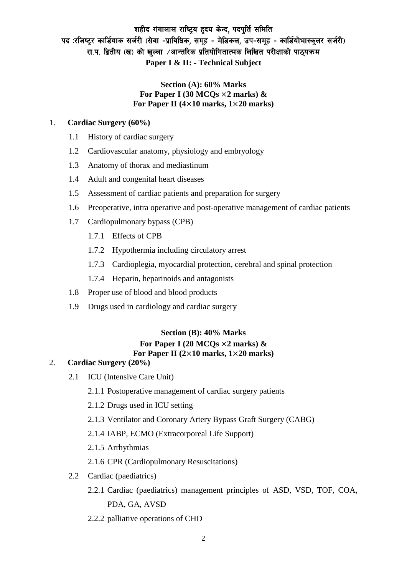## शहीद गंगालाल राष्ट्रिय हृदय केन्द, पदपति समिति पद :रजिष्ट्र कार्डियाक सर्जरी (सेवा -प्राविधिक, समूह - मेडिकल, उप-समूह - कार्डियोभास्कुलर सर्जरी) रा.प. द्वितीय (ख) को खुल्ला ⁄आन्तरिक प्रतियोगितात्मक लिखित परीक्षाको पाठ्यक्रम **Paper I & II: - Technical Subject**

### **Section (A): 60% Marks For Paper I (30 MCQs** ×**2 marks) & For Paper II (4**×**10 marks, 1**×**20 marks)**

### 1. **Cardiac Surgery (60%)**

- 1.1 History of cardiac surgery
- 1.2 Cardiovascular anatomy, physiology and embryology
- 1.3 Anatomy of thorax and mediastinum
- 1.4 Adult and congenital heart diseases
- 1.5 Assessment of cardiac patients and preparation for surgery
- 1.6 Preoperative, intra operative and post-operative management of cardiac patients
- 1.7 Cardiopulmonary bypass (CPB)
	- 1.7.1 Effects of CPB
	- 1.7.2 Hypothermia including circulatory arrest
	- 1.7.3 Cardioplegia, myocardial protection, cerebral and spinal protection
	- 1.7.4 Heparin, heparinoids and antagonists
- 1.8 Proper use of blood and blood products
- 1.9 Drugs used in cardiology and cardiac surgery

## **Section (B): 40% Marks For Paper I (20 MCQs** ×**2 marks) & For Paper II (2**×**10 marks, 1**×**20 marks)**

## 2. **Cardiac Surgery (20%)**

- 2.1 ICU (Intensive Care Unit)
	- 2.1.1 Postoperative management of cardiac surgery patients
	- 2.1.2 Drugs used in ICU setting
	- 2.1.3 Ventilator and Coronary Artery Bypass Graft Surgery (CABG)
	- 2.1.4 IABP, ECMO (Extracorporeal Life Support)
	- 2.1.5 Arrhythmias
	- 2.1.6 CPR (Cardiopulmonary Resuscitations)
- 2.2 Cardiac (paediatrics)
	- 2.2.1 Cardiac (paediatrics) management principles of ASD, VSD, TOF, COA, PDA, GA, AVSD
	- 2.2.2 palliative operations of CHD